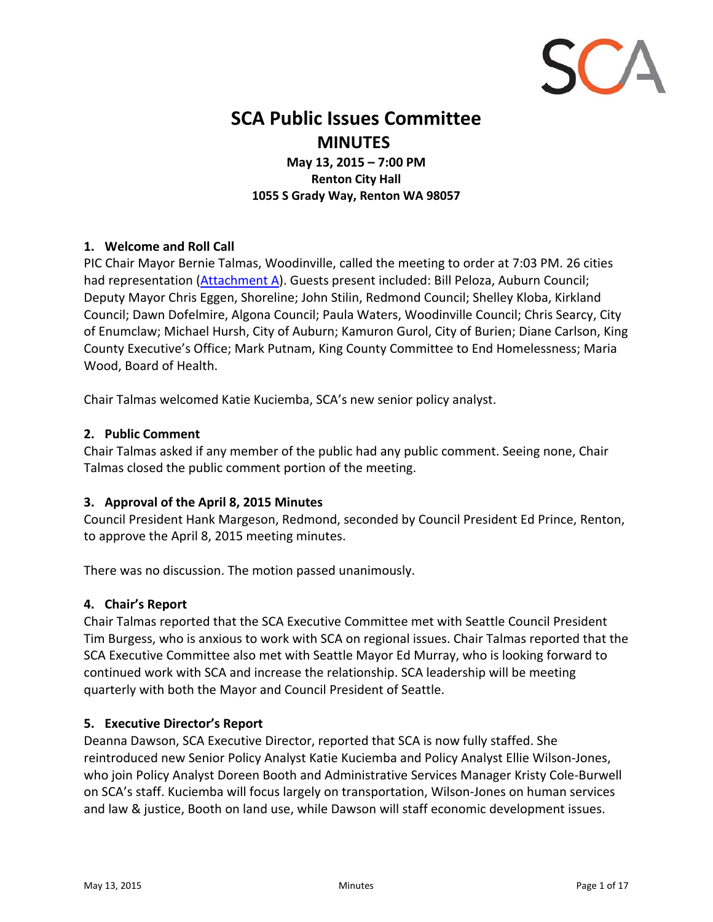

# **SCA Public Issues Committee MINUTES**

**May 13, 2015 – 7:00 PM Renton City Hall 1055 S Grady Way, Renton WA 98057**

#### **1. Welcome and Roll Call**

PIC Chair Mayor Bernie Talmas, Woodinville, called the meeting to order at 7:03 PM. 26 cities had representation [\(Attachment](#page-15-0) A). Guests present included: Bill Peloza, Auburn Council; Deputy Mayor Chris Eggen, Shoreline; John Stilin, Redmond Council; Shelley Kloba, Kirkland Council; Dawn Dofelmire, Algona Council; Paula Waters, Woodinville Council; Chris Searcy, City of Enumclaw; Michael Hursh, City of Auburn; Kamuron Gurol, City of Burien; Diane Carlson, King County Executive's Office; Mark Putnam, King County Committee to End Homelessness; Maria Wood, Board of Health.

Chair Talmas welcomed Katie Kuciemba, SCA's new senior policy analyst.

#### **2. Public Comment**

Chair Talmas asked if any member of the public had any public comment. Seeing none, Chair Talmas closed the public comment portion of the meeting.

#### **3. Approval of the April 8, 2015 Minutes**

Council President Hank Margeson, Redmond, seconded by Council President Ed Prince, Renton, to approve the April 8, 2015 meeting minutes.

There was no discussion. The motion passed unanimously.

#### **4. Chair's Report**

Chair Talmas reported that the SCA Executive Committee met with Seattle Council President Tim Burgess, who is anxious to work with SCA on regional issues. Chair Talmas reported that the SCA Executive Committee also met with Seattle Mayor Ed Murray, who is looking forward to continued work with SCA and increase the relationship. SCA leadership will be meeting quarterly with both the Mayor and Council President of Seattle.

#### **5. Executive Director's Report**

Deanna Dawson, SCA Executive Director, reported that SCA is now fully staffed. She reintroduced new Senior Policy Analyst Katie Kuciemba and Policy Analyst Ellie Wilson‐Jones, who join Policy Analyst Doreen Booth and Administrative Services Manager Kristy Cole‐Burwell on SCA's staff. Kuciemba will focus largely on transportation, Wilson‐Jones on human services and law & justice, Booth on land use, while Dawson will staff economic development issues.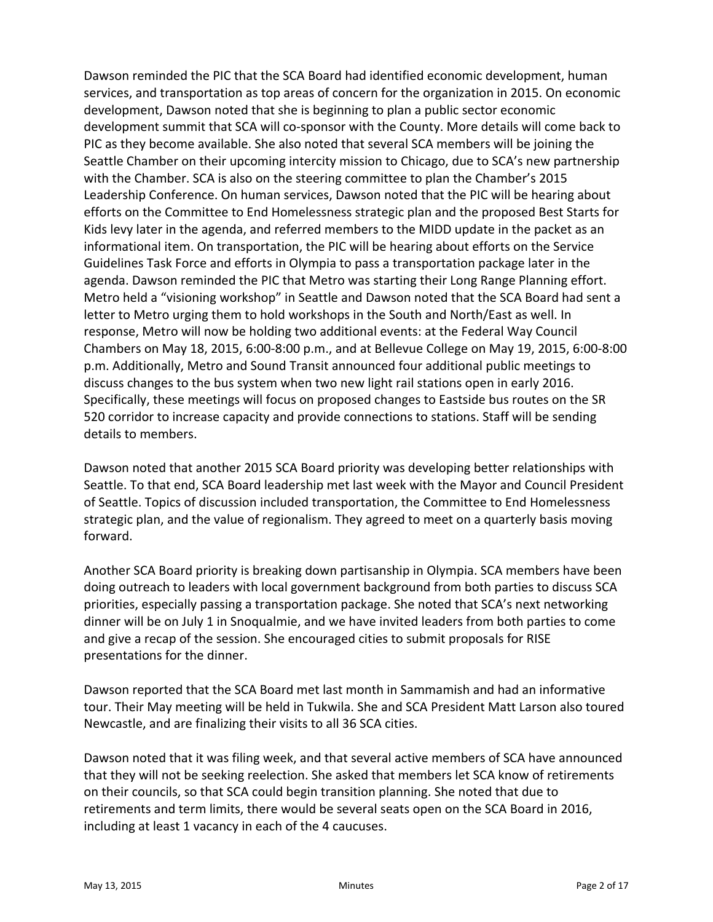Dawson reminded the PIC that the SCA Board had identified economic development, human services, and transportation as top areas of concern for the organization in 2015. On economic development, Dawson noted that she is beginning to plan a public sector economic development summit that SCA will co-sponsor with the County. More details will come back to PIC as they become available. She also noted that several SCA members will be joining the Seattle Chamber on their upcoming intercity mission to Chicago, due to SCA's new partnership with the Chamber. SCA is also on the steering committee to plan the Chamber's 2015 Leadership Conference. On human services, Dawson noted that the PIC will be hearing about efforts on the Committee to End Homelessness strategic plan and the proposed Best Starts for Kids levy later in the agenda, and referred members to the MIDD update in the packet as an informational item. On transportation, the PIC will be hearing about efforts on the Service Guidelines Task Force and efforts in Olympia to pass a transportation package later in the agenda. Dawson reminded the PIC that Metro was starting their Long Range Planning effort. Metro held a "visioning workshop" in Seattle and Dawson noted that the SCA Board had sent a letter to Metro urging them to hold workshops in the South and North/East as well. In response, Metro will now be holding two additional events: at the Federal Way Council Chambers on May 18, 2015, 6:00‐8:00 p.m., and at Bellevue College on May 19, 2015, 6:00‐8:00 p.m. Additionally, Metro and Sound Transit announced four additional public meetings to discuss changes to the bus system when two new light rail stations open in early 2016. Specifically, these meetings will focus on proposed changes to Eastside bus routes on the SR 520 corridor to increase capacity and provide connections to stations. Staff will be sending details to members.

Dawson noted that another 2015 SCA Board priority was developing better relationships with Seattle. To that end, SCA Board leadership met last week with the Mayor and Council President of Seattle. Topics of discussion included transportation, the Committee to End Homelessness strategic plan, and the value of regionalism. They agreed to meet on a quarterly basis moving forward.

Another SCA Board priority is breaking down partisanship in Olympia. SCA members have been doing outreach to leaders with local government background from both parties to discuss SCA priorities, especially passing a transportation package. She noted that SCA's next networking dinner will be on July 1 in Snoqualmie, and we have invited leaders from both parties to come and give a recap of the session. She encouraged cities to submit proposals for RISE presentations for the dinner.

Dawson reported that the SCA Board met last month in Sammamish and had an informative tour. Their May meeting will be held in Tukwila. She and SCA President Matt Larson also toured Newcastle, and are finalizing their visits to all 36 SCA cities.

Dawson noted that it was filing week, and that several active members of SCA have announced that they will not be seeking reelection. She asked that members let SCA know of retirements on their councils, so that SCA could begin transition planning. She noted that due to retirements and term limits, there would be several seats open on the SCA Board in 2016, including at least 1 vacancy in each of the 4 caucuses.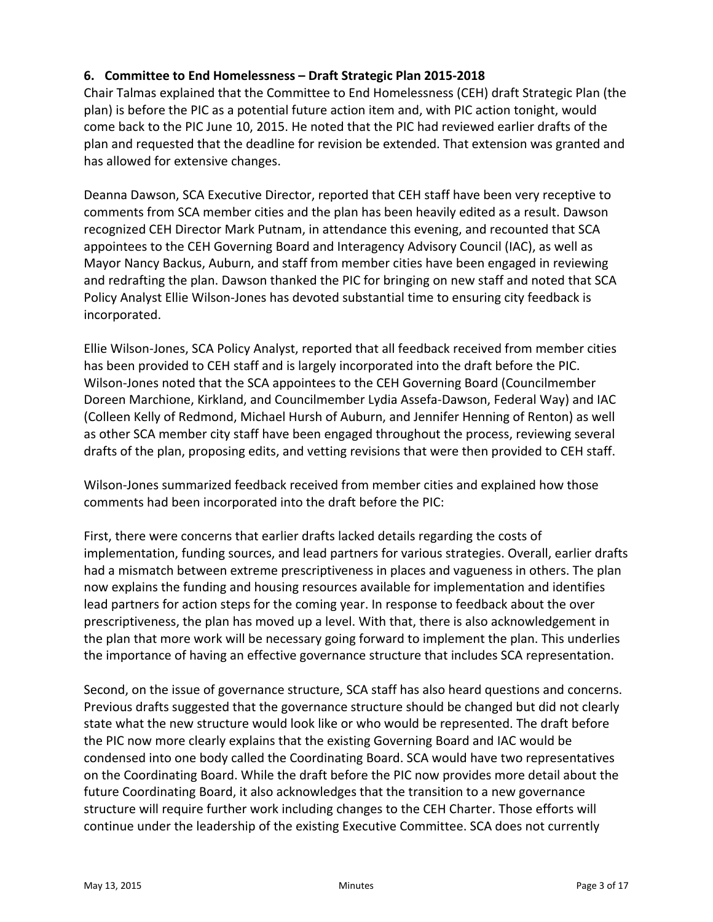# **6. Committee to End Homelessness – Draft Strategic Plan 2015‐2018**

Chair Talmas explained that the Committee to End Homelessness (CEH) draft Strategic Plan (the plan) is before the PIC as a potential future action item and, with PIC action tonight, would come back to the PIC June 10, 2015. He noted that the PIC had reviewed earlier drafts of the plan and requested that the deadline for revision be extended. That extension was granted and has allowed for extensive changes.

Deanna Dawson, SCA Executive Director, reported that CEH staff have been very receptive to comments from SCA member cities and the plan has been heavily edited as a result. Dawson recognized CEH Director Mark Putnam, in attendance this evening, and recounted that SCA appointees to the CEH Governing Board and Interagency Advisory Council (IAC), as well as Mayor Nancy Backus, Auburn, and staff from member cities have been engaged in reviewing and redrafting the plan. Dawson thanked the PIC for bringing on new staff and noted that SCA Policy Analyst Ellie Wilson‐Jones has devoted substantial time to ensuring city feedback is incorporated.

Ellie Wilson‐Jones, SCA Policy Analyst, reported that all feedback received from member cities has been provided to CEH staff and is largely incorporated into the draft before the PIC. Wilson‐Jones noted that the SCA appointees to the CEH Governing Board (Councilmember Doreen Marchione, Kirkland, and Councilmember Lydia Assefa‐Dawson, Federal Way) and IAC (Colleen Kelly of Redmond, Michael Hursh of Auburn, and Jennifer Henning of Renton) as well as other SCA member city staff have been engaged throughout the process, reviewing several drafts of the plan, proposing edits, and vetting revisions that were then provided to CEH staff.

Wilson‐Jones summarized feedback received from member cities and explained how those comments had been incorporated into the draft before the PIC:

First, there were concerns that earlier drafts lacked details regarding the costs of implementation, funding sources, and lead partners for various strategies. Overall, earlier drafts had a mismatch between extreme prescriptiveness in places and vagueness in others. The plan now explains the funding and housing resources available for implementation and identifies lead partners for action steps for the coming year. In response to feedback about the over prescriptiveness, the plan has moved up a level. With that, there is also acknowledgement in the plan that more work will be necessary going forward to implement the plan. This underlies the importance of having an effective governance structure that includes SCA representation.

Second, on the issue of governance structure, SCA staff has also heard questions and concerns. Previous drafts suggested that the governance structure should be changed but did not clearly state what the new structure would look like or who would be represented. The draft before the PIC now more clearly explains that the existing Governing Board and IAC would be condensed into one body called the Coordinating Board. SCA would have two representatives on the Coordinating Board. While the draft before the PIC now provides more detail about the future Coordinating Board, it also acknowledges that the transition to a new governance structure will require further work including changes to the CEH Charter. Those efforts will continue under the leadership of the existing Executive Committee. SCA does not currently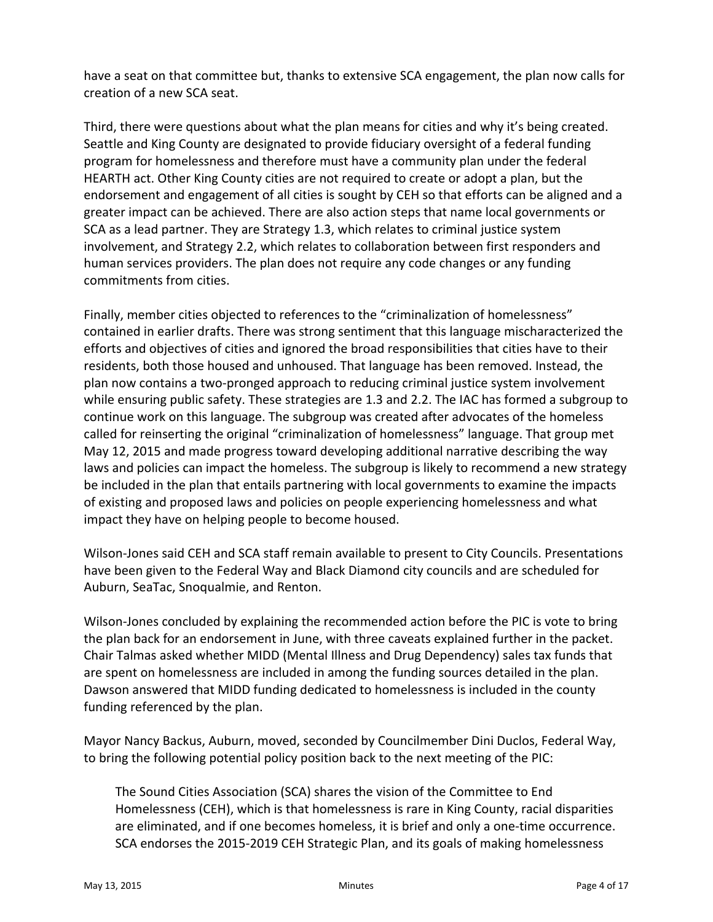have a seat on that committee but, thanks to extensive SCA engagement, the plan now calls for creation of a new SCA seat.

Third, there were questions about what the plan means for cities and why it's being created. Seattle and King County are designated to provide fiduciary oversight of a federal funding program for homelessness and therefore must have a community plan under the federal HEARTH act. Other King County cities are not required to create or adopt a plan, but the endorsement and engagement of all cities is sought by CEH so that efforts can be aligned and a greater impact can be achieved. There are also action steps that name local governments or SCA as a lead partner. They are Strategy 1.3, which relates to criminal justice system involvement, and Strategy 2.2, which relates to collaboration between first responders and human services providers. The plan does not require any code changes or any funding commitments from cities.

Finally, member cities objected to references to the "criminalization of homelessness" contained in earlier drafts. There was strong sentiment that this language mischaracterized the efforts and objectives of cities and ignored the broad responsibilities that cities have to their residents, both those housed and unhoused. That language has been removed. Instead, the plan now contains a two‐pronged approach to reducing criminal justice system involvement while ensuring public safety. These strategies are 1.3 and 2.2. The IAC has formed a subgroup to continue work on this language. The subgroup was created after advocates of the homeless called for reinserting the original "criminalization of homelessness" language. That group met May 12, 2015 and made progress toward developing additional narrative describing the way laws and policies can impact the homeless. The subgroup is likely to recommend a new strategy be included in the plan that entails partnering with local governments to examine the impacts of existing and proposed laws and policies on people experiencing homelessness and what impact they have on helping people to become housed.

Wilson‐Jones said CEH and SCA staff remain available to present to City Councils. Presentations have been given to the Federal Way and Black Diamond city councils and are scheduled for Auburn, SeaTac, Snoqualmie, and Renton.

Wilson‐Jones concluded by explaining the recommended action before the PIC is vote to bring the plan back for an endorsement in June, with three caveats explained further in the packet. Chair Talmas asked whether MIDD (Mental Illness and Drug Dependency) sales tax funds that are spent on homelessness are included in among the funding sources detailed in the plan. Dawson answered that MIDD funding dedicated to homelessness is included in the county funding referenced by the plan.

Mayor Nancy Backus, Auburn, moved, seconded by Councilmember Dini Duclos, Federal Way, to bring the following potential policy position back to the next meeting of the PIC:

The Sound Cities Association (SCA) shares the vision of the Committee to End Homelessness (CEH), which is that homelessness is rare in King County, racial disparities are eliminated, and if one becomes homeless, it is brief and only a one-time occurrence. SCA endorses the 2015‐2019 CEH Strategic Plan, and its goals of making homelessness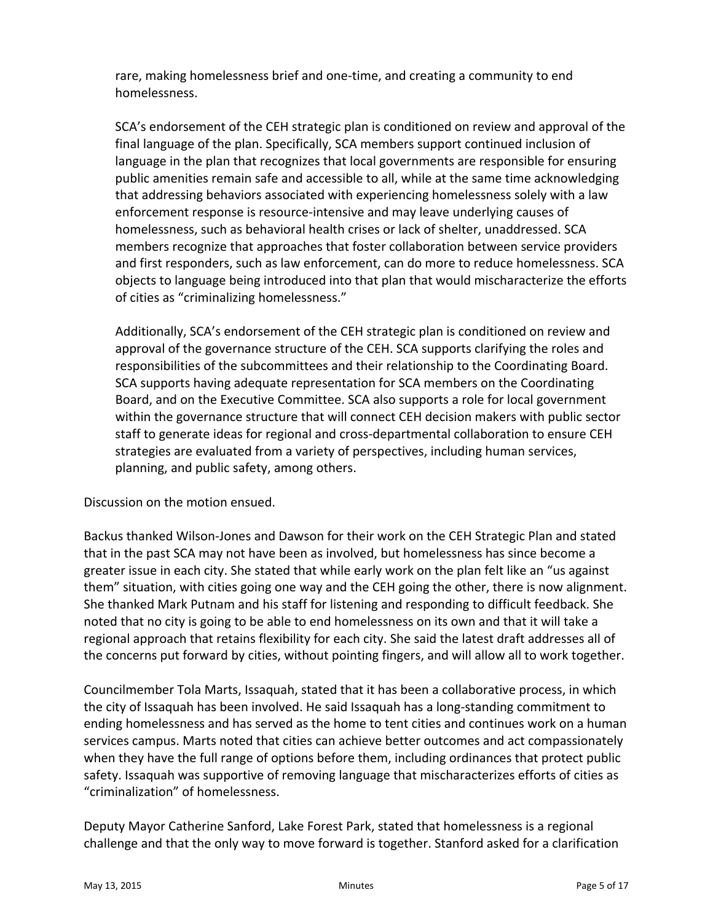rare, making homelessness brief and one‐time, and creating a community to end homelessness.

SCA's endorsement of the CEH strategic plan is conditioned on review and approval of the final language of the plan. Specifically, SCA members support continued inclusion of language in the plan that recognizes that local governments are responsible for ensuring public amenities remain safe and accessible to all, while at the same time acknowledging that addressing behaviors associated with experiencing homelessness solely with a law enforcement response is resource‐intensive and may leave underlying causes of homelessness, such as behavioral health crises or lack of shelter, unaddressed. SCA members recognize that approaches that foster collaboration between service providers and first responders, such as law enforcement, can do more to reduce homelessness. SCA objects to language being introduced into that plan that would mischaracterize the efforts of cities as "criminalizing homelessness."

Additionally, SCA's endorsement of the CEH strategic plan is conditioned on review and approval of the governance structure of the CEH. SCA supports clarifying the roles and responsibilities of the subcommittees and their relationship to the Coordinating Board. SCA supports having adequate representation for SCA members on the Coordinating Board, and on the Executive Committee. SCA also supports a role for local government within the governance structure that will connect CEH decision makers with public sector staff to generate ideas for regional and cross‐departmental collaboration to ensure CEH strategies are evaluated from a variety of perspectives, including human services, planning, and public safety, among others.

Discussion on the motion ensued.

Backus thanked Wilson‐Jones and Dawson for their work on the CEH Strategic Plan and stated that in the past SCA may not have been as involved, but homelessness has since become a greater issue in each city. She stated that while early work on the plan felt like an "us against them" situation, with cities going one way and the CEH going the other, there is now alignment. She thanked Mark Putnam and his staff for listening and responding to difficult feedback. She noted that no city is going to be able to end homelessness on its own and that it will take a regional approach that retains flexibility for each city. She said the latest draft addresses all of the concerns put forward by cities, without pointing fingers, and will allow all to work together.

Councilmember Tola Marts, Issaquah, stated that it has been a collaborative process, in which the city of Issaquah has been involved. He said Issaquah has a long‐standing commitment to ending homelessness and has served as the home to tent cities and continues work on a human services campus. Marts noted that cities can achieve better outcomes and act compassionately when they have the full range of options before them, including ordinances that protect public safety. Issaquah was supportive of removing language that mischaracterizes efforts of cities as "criminalization" of homelessness.

Deputy Mayor Catherine Sanford, Lake Forest Park, stated that homelessness is a regional challenge and that the only way to move forward is together. Stanford asked for a clarification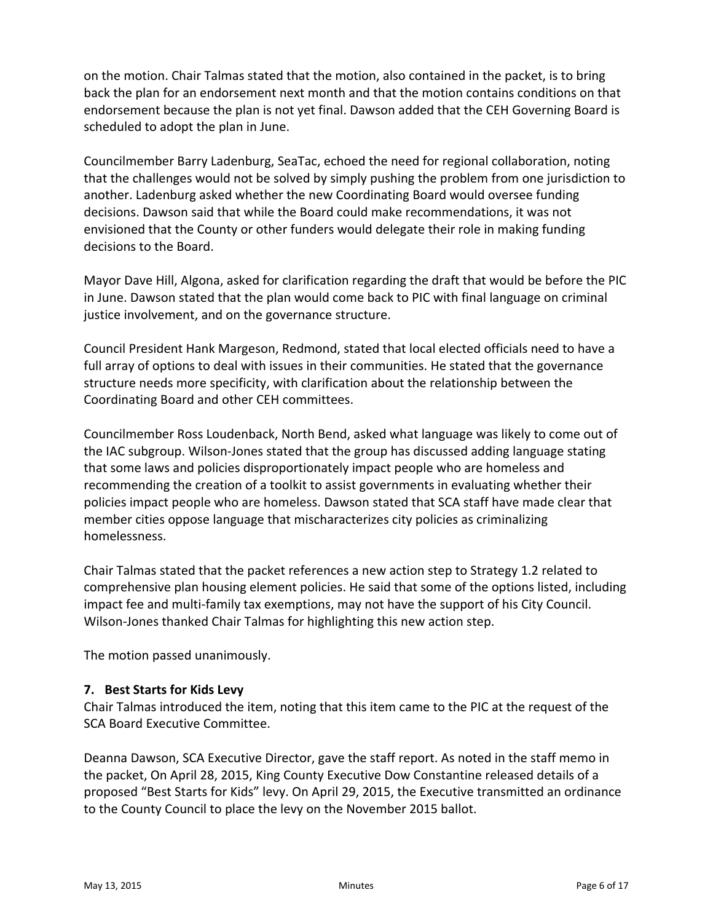on the motion. Chair Talmas stated that the motion, also contained in the packet, is to bring back the plan for an endorsement next month and that the motion contains conditions on that endorsement because the plan is not yet final. Dawson added that the CEH Governing Board is scheduled to adopt the plan in June.

Councilmember Barry Ladenburg, SeaTac, echoed the need for regional collaboration, noting that the challenges would not be solved by simply pushing the problem from one jurisdiction to another. Ladenburg asked whether the new Coordinating Board would oversee funding decisions. Dawson said that while the Board could make recommendations, it was not envisioned that the County or other funders would delegate their role in making funding decisions to the Board.

Mayor Dave Hill, Algona, asked for clarification regarding the draft that would be before the PIC in June. Dawson stated that the plan would come back to PIC with final language on criminal justice involvement, and on the governance structure.

Council President Hank Margeson, Redmond, stated that local elected officials need to have a full array of options to deal with issues in their communities. He stated that the governance structure needs more specificity, with clarification about the relationship between the Coordinating Board and other CEH committees.

Councilmember Ross Loudenback, North Bend, asked what language was likely to come out of the IAC subgroup. Wilson‐Jones stated that the group has discussed adding language stating that some laws and policies disproportionately impact people who are homeless and recommending the creation of a toolkit to assist governments in evaluating whether their policies impact people who are homeless. Dawson stated that SCA staff have made clear that member cities oppose language that mischaracterizes city policies as criminalizing homelessness.

Chair Talmas stated that the packet references a new action step to Strategy 1.2 related to comprehensive plan housing element policies. He said that some of the options listed, including impact fee and multi‐family tax exemptions, may not have the support of his City Council. Wilson‐Jones thanked Chair Talmas for highlighting this new action step.

The motion passed unanimously.

# **7. Best Starts for Kids Levy**

Chair Talmas introduced the item, noting that this item came to the PIC at the request of the SCA Board Executive Committee.

Deanna Dawson, SCA Executive Director, gave the staff report. As noted in the staff memo in the packet, On April 28, 2015, King County Executive Dow Constantine released details of a proposed "Best Starts for Kids" levy. On April 29, 2015, the Executive transmitted an ordinance to the County Council to place the levy on the November 2015 ballot.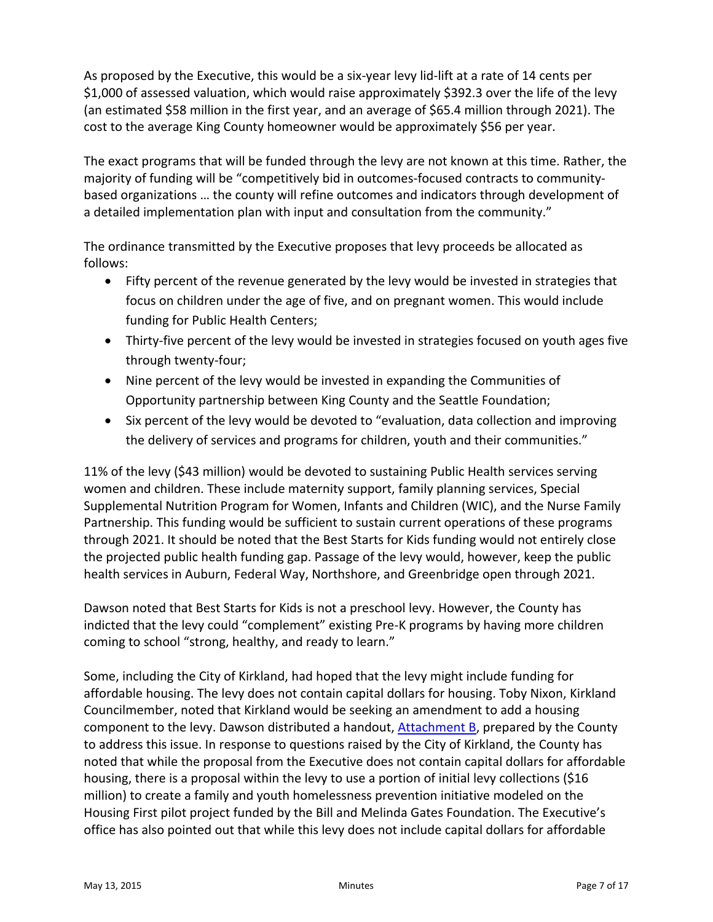As proposed by the Executive, this would be a six‐year levy lid‐lift at a rate of 14 cents per \$1,000 of assessed valuation, which would raise approximately \$392.3 over the life of the levy (an estimated \$58 million in the first year, and an average of \$65.4 million through 2021). The cost to the average King County homeowner would be approximately \$56 per year.

The exact programs that will be funded through the levy are not known at this time. Rather, the majority of funding will be "competitively bid in outcomes-focused contracts to communitybased organizations … the county will refine outcomes and indicators through development of a detailed implementation plan with input and consultation from the community."

The ordinance transmitted by the Executive proposes that levy proceeds be allocated as follows:

- Fifty percent of the revenue generated by the levy would be invested in strategies that focus on children under the age of five, and on pregnant women. This would include funding for Public Health Centers;
- Thirty‐five percent of the levy would be invested in strategies focused on youth ages five through twenty‐four;
- Nine percent of the levy would be invested in expanding the Communities of Opportunity partnership between King County and the Seattle Foundation;
- Six percent of the levy would be devoted to "evaluation, data collection and improving the delivery of services and programs for children, youth and their communities."

11% of the levy (\$43 million) would be devoted to sustaining Public Health services serving women and children. These include maternity support, family planning services, Special Supplemental Nutrition Program for Women, Infants and Children (WIC), and the Nurse Family Partnership. This funding would be sufficient to sustain current operations of these programs through 2021. It should be noted that the Best Starts for Kids funding would not entirely close the projected public health funding gap. Passage of the levy would, however, keep the public health services in Auburn, Federal Way, Northshore, and Greenbridge open through 2021.

Dawson noted that Best Starts for Kids is not a preschool levy. However, the County has indicted that the levy could "complement" existing Pre‐K programs by having more children coming to school "strong, healthy, and ready to learn."

Some, including the City of Kirkland, had hoped that the levy might include funding for affordable housing. The levy does not contain capital dollars for housing. Toby Nixon, Kirkland Councilmember, noted that Kirkland would be seeking an amendment to add a housing component to the levy. Dawson distributed a handout, [Attachment](#page-16-0) B, prepared by the County to address this issue. In response to questions raised by the City of Kirkland, the County has noted that while the proposal from the Executive does not contain capital dollars for affordable housing, there is a proposal within the levy to use a portion of initial levy collections (\$16 million) to create a family and youth homelessness prevention initiative modeled on the Housing First pilot project funded by the Bill and Melinda Gates Foundation. The Executive's office has also pointed out that while this levy does not include capital dollars for affordable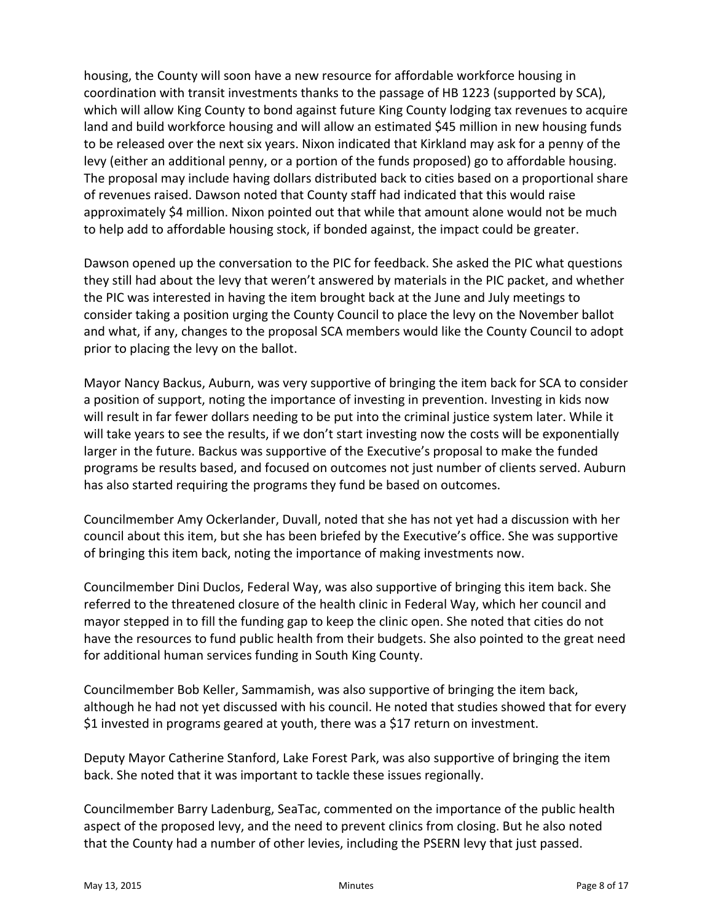housing, the County will soon have a new resource for affordable workforce housing in coordination with transit investments thanks to the passage of HB 1223 (supported by SCA), which will allow King County to bond against future King County lodging tax revenues to acquire land and build workforce housing and will allow an estimated \$45 million in new housing funds to be released over the next six years. Nixon indicated that Kirkland may ask for a penny of the levy (either an additional penny, or a portion of the funds proposed) go to affordable housing. The proposal may include having dollars distributed back to cities based on a proportional share of revenues raised. Dawson noted that County staff had indicated that this would raise approximately \$4 million. Nixon pointed out that while that amount alone would not be much to help add to affordable housing stock, if bonded against, the impact could be greater.

Dawson opened up the conversation to the PIC for feedback. She asked the PIC what questions they still had about the levy that weren't answered by materials in the PIC packet, and whether the PIC was interested in having the item brought back at the June and July meetings to consider taking a position urging the County Council to place the levy on the November ballot and what, if any, changes to the proposal SCA members would like the County Council to adopt prior to placing the levy on the ballot.

Mayor Nancy Backus, Auburn, was very supportive of bringing the item back for SCA to consider a position of support, noting the importance of investing in prevention. Investing in kids now will result in far fewer dollars needing to be put into the criminal justice system later. While it will take years to see the results, if we don't start investing now the costs will be exponentially larger in the future. Backus was supportive of the Executive's proposal to make the funded programs be results based, and focused on outcomes not just number of clients served. Auburn has also started requiring the programs they fund be based on outcomes.

Councilmember Amy Ockerlander, Duvall, noted that she has not yet had a discussion with her council about this item, but she has been briefed by the Executive's office. She was supportive of bringing this item back, noting the importance of making investments now.

Councilmember Dini Duclos, Federal Way, was also supportive of bringing this item back. She referred to the threatened closure of the health clinic in Federal Way, which her council and mayor stepped in to fill the funding gap to keep the clinic open. She noted that cities do not have the resources to fund public health from their budgets. She also pointed to the great need for additional human services funding in South King County.

Councilmember Bob Keller, Sammamish, was also supportive of bringing the item back, although he had not yet discussed with his council. He noted that studies showed that for every \$1 invested in programs geared at youth, there was a \$17 return on investment.

Deputy Mayor Catherine Stanford, Lake Forest Park, was also supportive of bringing the item back. She noted that it was important to tackle these issues regionally.

Councilmember Barry Ladenburg, SeaTac, commented on the importance of the public health aspect of the proposed levy, and the need to prevent clinics from closing. But he also noted that the County had a number of other levies, including the PSERN levy that just passed.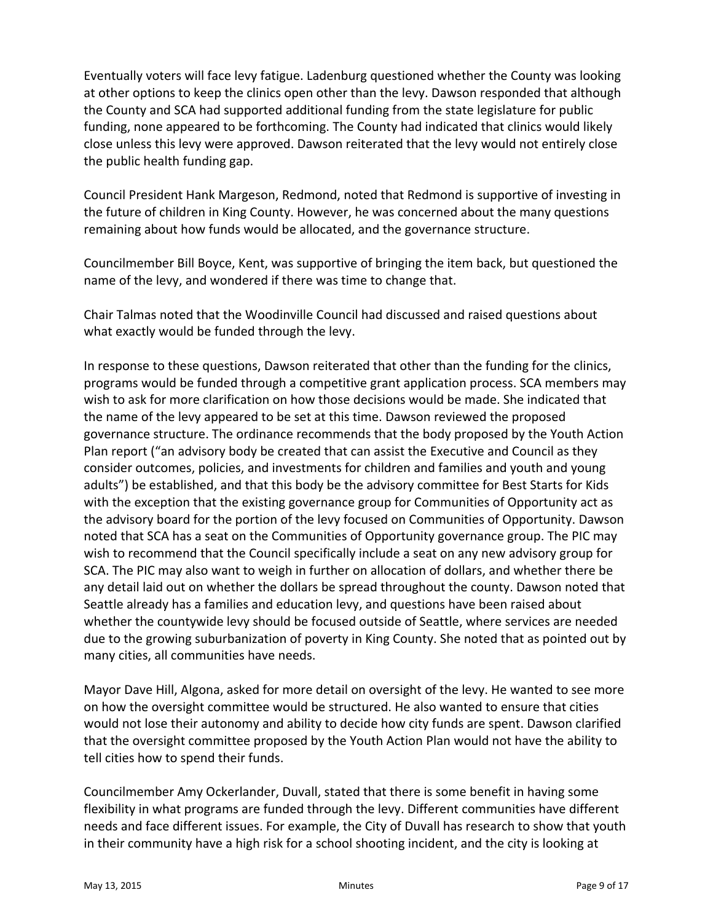Eventually voters will face levy fatigue. Ladenburg questioned whether the County was looking at other options to keep the clinics open other than the levy. Dawson responded that although the County and SCA had supported additional funding from the state legislature for public funding, none appeared to be forthcoming. The County had indicated that clinics would likely close unless this levy were approved. Dawson reiterated that the levy would not entirely close the public health funding gap.

Council President Hank Margeson, Redmond, noted that Redmond is supportive of investing in the future of children in King County. However, he was concerned about the many questions remaining about how funds would be allocated, and the governance structure.

Councilmember Bill Boyce, Kent, was supportive of bringing the item back, but questioned the name of the levy, and wondered if there was time to change that.

Chair Talmas noted that the Woodinville Council had discussed and raised questions about what exactly would be funded through the levy.

In response to these questions, Dawson reiterated that other than the funding for the clinics, programs would be funded through a competitive grant application process. SCA members may wish to ask for more clarification on how those decisions would be made. She indicated that the name of the levy appeared to be set at this time. Dawson reviewed the proposed governance structure. The ordinance recommends that the body proposed by the Youth Action Plan report ("an advisory body be created that can assist the Executive and Council as they consider outcomes, policies, and investments for children and families and youth and young adults") be established, and that this body be the advisory committee for Best Starts for Kids with the exception that the existing governance group for Communities of Opportunity act as the advisory board for the portion of the levy focused on Communities of Opportunity. Dawson noted that SCA has a seat on the Communities of Opportunity governance group. The PIC may wish to recommend that the Council specifically include a seat on any new advisory group for SCA. The PIC may also want to weigh in further on allocation of dollars, and whether there be any detail laid out on whether the dollars be spread throughout the county. Dawson noted that Seattle already has a families and education levy, and questions have been raised about whether the countywide levy should be focused outside of Seattle, where services are needed due to the growing suburbanization of poverty in King County. She noted that as pointed out by many cities, all communities have needs.

Mayor Dave Hill, Algona, asked for more detail on oversight of the levy. He wanted to see more on how the oversight committee would be structured. He also wanted to ensure that cities would not lose their autonomy and ability to decide how city funds are spent. Dawson clarified that the oversight committee proposed by the Youth Action Plan would not have the ability to tell cities how to spend their funds.

Councilmember Amy Ockerlander, Duvall, stated that there is some benefit in having some flexibility in what programs are funded through the levy. Different communities have different needs and face different issues. For example, the City of Duvall has research to show that youth in their community have a high risk for a school shooting incident, and the city is looking at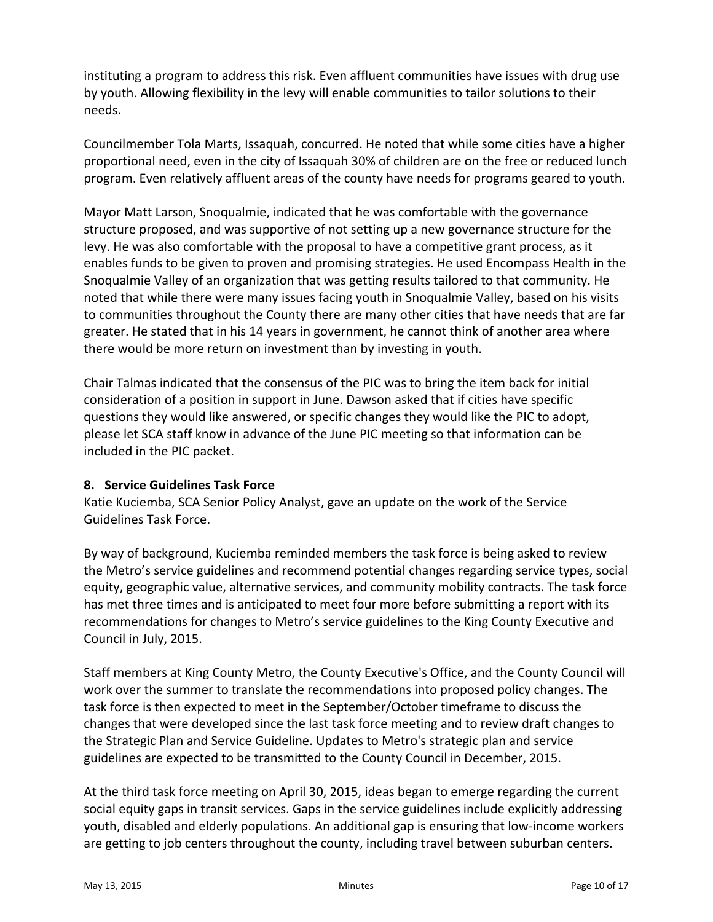instituting a program to address this risk. Even affluent communities have issues with drug use by youth. Allowing flexibility in the levy will enable communities to tailor solutions to their needs.

Councilmember Tola Marts, Issaquah, concurred. He noted that while some cities have a higher proportional need, even in the city of Issaquah 30% of children are on the free or reduced lunch program. Even relatively affluent areas of the county have needs for programs geared to youth.

Mayor Matt Larson, Snoqualmie, indicated that he was comfortable with the governance structure proposed, and was supportive of not setting up a new governance structure for the levy. He was also comfortable with the proposal to have a competitive grant process, as it enables funds to be given to proven and promising strategies. He used Encompass Health in the Snoqualmie Valley of an organization that was getting results tailored to that community. He noted that while there were many issues facing youth in Snoqualmie Valley, based on his visits to communities throughout the County there are many other cities that have needs that are far greater. He stated that in his 14 years in government, he cannot think of another area where there would be more return on investment than by investing in youth.

Chair Talmas indicated that the consensus of the PIC was to bring the item back for initial consideration of a position in support in June. Dawson asked that if cities have specific questions they would like answered, or specific changes they would like the PIC to adopt, please let SCA staff know in advance of the June PIC meeting so that information can be included in the PIC packet.

#### **8. Service Guidelines Task Force**

Katie Kuciemba, SCA Senior Policy Analyst, gave an update on the work of the Service Guidelines Task Force.

By way of background, Kuciemba reminded members the task force is being asked to review the Metro's service guidelines and recommend potential changes regarding service types, social equity, geographic value, alternative services, and community mobility contracts. The task force has met three times and is anticipated to meet four more before submitting a report with its recommendations for changes to Metro's service guidelines to the King County Executive and Council in July, 2015.

Staff members at King County Metro, the County Executive's Office, and the County Council will work over the summer to translate the recommendations into proposed policy changes. The task force is then expected to meet in the September/October timeframe to discuss the changes that were developed since the last task force meeting and to review draft changes to the Strategic Plan and Service Guideline. Updates to Metro's strategic plan and service guidelines are expected to be transmitted to the County Council in December, 2015.

At the third task force meeting on April 30, 2015, ideas began to emerge regarding the current social equity gaps in transit services. Gaps in the service guidelines include explicitly addressing youth, disabled and elderly populations. An additional gap is ensuring that low‐income workers are getting to job centers throughout the county, including travel between suburban centers.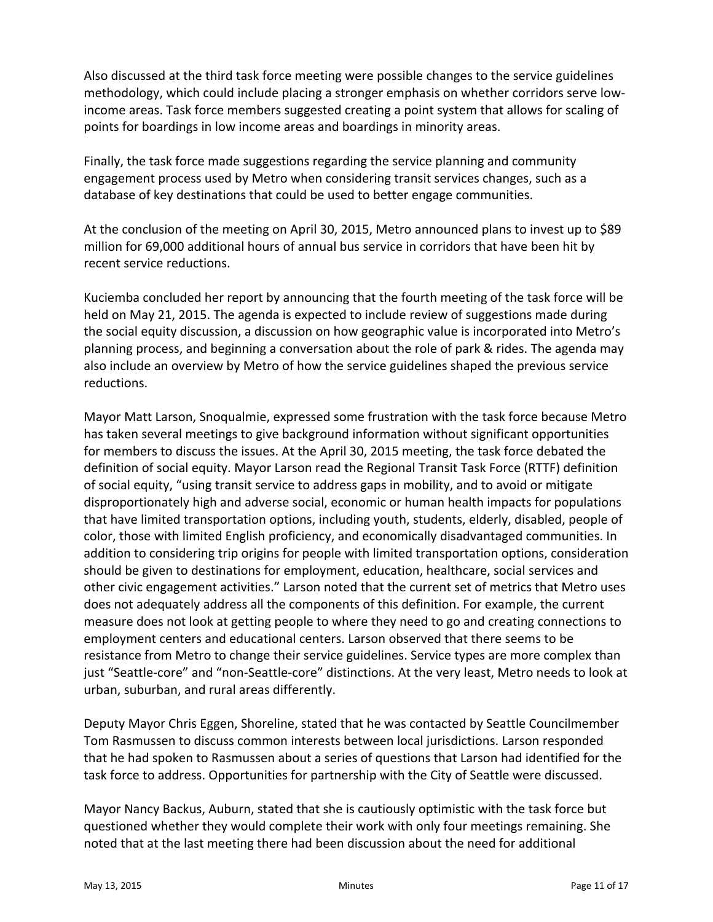Also discussed at the third task force meeting were possible changes to the service guidelines methodology, which could include placing a stronger emphasis on whether corridors serve low‐ income areas. Task force members suggested creating a point system that allows for scaling of points for boardings in low income areas and boardings in minority areas.

Finally, the task force made suggestions regarding the service planning and community engagement process used by Metro when considering transit services changes, such as a database of key destinations that could be used to better engage communities.

At the conclusion of the meeting on April 30, 2015, Metro announced plans to invest up to \$89 million for 69,000 additional hours of annual bus service in corridors that have been hit by recent service reductions.

Kuciemba concluded her report by announcing that the fourth meeting of the task force will be held on May 21, 2015. The agenda is expected to include review of suggestions made during the social equity discussion, a discussion on how geographic value is incorporated into Metro's planning process, and beginning a conversation about the role of park & rides. The agenda may also include an overview by Metro of how the service guidelines shaped the previous service reductions.

Mayor Matt Larson, Snoqualmie, expressed some frustration with the task force because Metro has taken several meetings to give background information without significant opportunities for members to discuss the issues. At the April 30, 2015 meeting, the task force debated the definition of social equity. Mayor Larson read the Regional Transit Task Force (RTTF) definition of social equity, "using transit service to address gaps in mobility, and to avoid or mitigate disproportionately high and adverse social, economic or human health impacts for populations that have limited transportation options, including youth, students, elderly, disabled, people of color, those with limited English proficiency, and economically disadvantaged communities. In addition to considering trip origins for people with limited transportation options, consideration should be given to destinations for employment, education, healthcare, social services and other civic engagement activities." Larson noted that the current set of metrics that Metro uses does not adequately address all the components of this definition. For example, the current measure does not look at getting people to where they need to go and creating connections to employment centers and educational centers. Larson observed that there seems to be resistance from Metro to change their service guidelines. Service types are more complex than just "Seattle‐core" and "non‐Seattle‐core" distinctions. At the very least, Metro needs to look at urban, suburban, and rural areas differently.

Deputy Mayor Chris Eggen, Shoreline, stated that he was contacted by Seattle Councilmember Tom Rasmussen to discuss common interests between local jurisdictions. Larson responded that he had spoken to Rasmussen about a series of questions that Larson had identified for the task force to address. Opportunities for partnership with the City of Seattle were discussed.

Mayor Nancy Backus, Auburn, stated that she is cautiously optimistic with the task force but questioned whether they would complete their work with only four meetings remaining. She noted that at the last meeting there had been discussion about the need for additional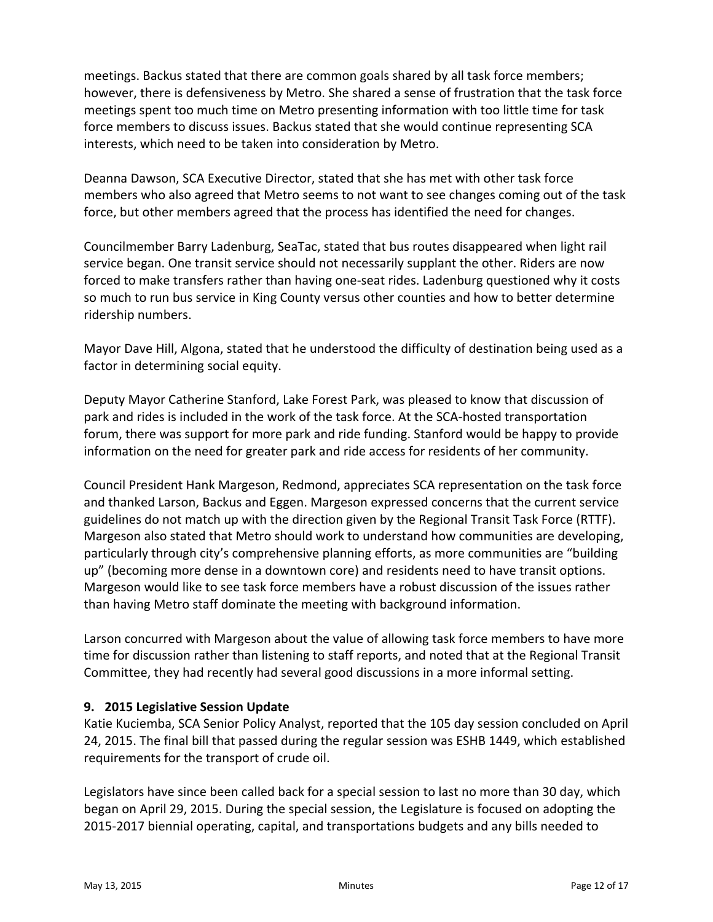meetings. Backus stated that there are common goals shared by all task force members; however, there is defensiveness by Metro. She shared a sense of frustration that the task force meetings spent too much time on Metro presenting information with too little time for task force members to discuss issues. Backus stated that she would continue representing SCA interests, which need to be taken into consideration by Metro.

Deanna Dawson, SCA Executive Director, stated that she has met with other task force members who also agreed that Metro seems to not want to see changes coming out of the task force, but other members agreed that the process has identified the need for changes.

Councilmember Barry Ladenburg, SeaTac, stated that bus routes disappeared when light rail service began. One transit service should not necessarily supplant the other. Riders are now forced to make transfers rather than having one‐seat rides. Ladenburg questioned why it costs so much to run bus service in King County versus other counties and how to better determine ridership numbers.

Mayor Dave Hill, Algona, stated that he understood the difficulty of destination being used as a factor in determining social equity.

Deputy Mayor Catherine Stanford, Lake Forest Park, was pleased to know that discussion of park and rides is included in the work of the task force. At the SCA‐hosted transportation forum, there was support for more park and ride funding. Stanford would be happy to provide information on the need for greater park and ride access for residents of her community.

Council President Hank Margeson, Redmond, appreciates SCA representation on the task force and thanked Larson, Backus and Eggen. Margeson expressed concerns that the current service guidelines do not match up with the direction given by the Regional Transit Task Force (RTTF). Margeson also stated that Metro should work to understand how communities are developing, particularly through city's comprehensive planning efforts, as more communities are "building up" (becoming more dense in a downtown core) and residents need to have transit options. Margeson would like to see task force members have a robust discussion of the issues rather than having Metro staff dominate the meeting with background information.

Larson concurred with Margeson about the value of allowing task force members to have more time for discussion rather than listening to staff reports, and noted that at the Regional Transit Committee, they had recently had several good discussions in a more informal setting.

# **9. 2015 Legislative Session Update**

Katie Kuciemba, SCA Senior Policy Analyst, reported that the 105 day session concluded on April 24, 2015. The final bill that passed during the regular session was ESHB 1449, which established requirements for the transport of crude oil.

Legislators have since been called back for a special session to last no more than 30 day, which began on April 29, 2015. During the special session, the Legislature is focused on adopting the 2015‐2017 biennial operating, capital, and transportations budgets and any bills needed to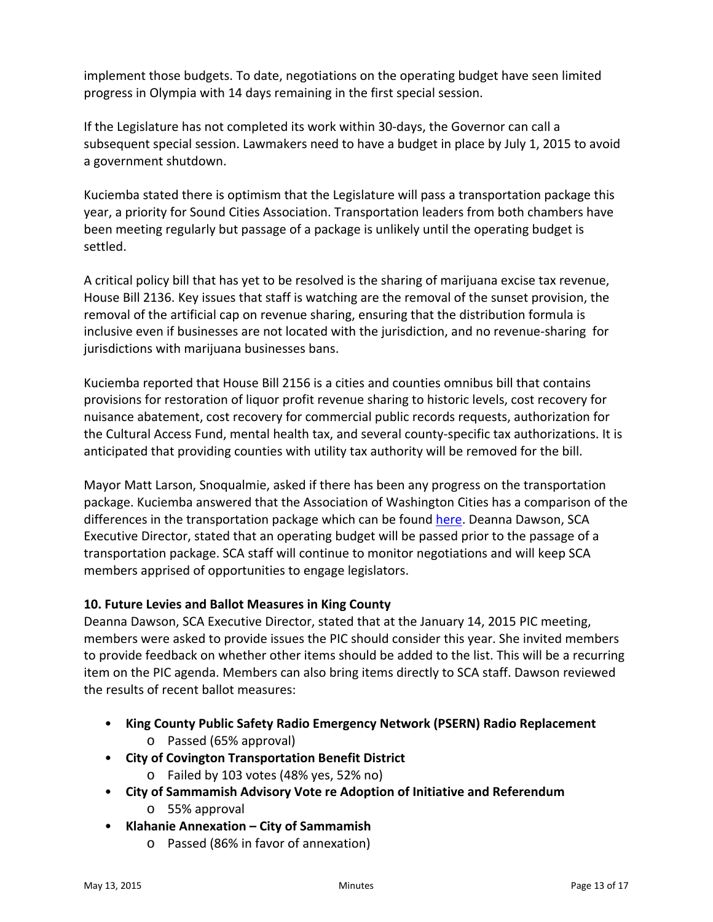implement those budgets. To date, negotiations on the operating budget have seen limited progress in Olympia with 14 days remaining in the first special session.

If the Legislature has not completed its work within 30‐days, the Governor can call a subsequent special session. Lawmakers need to have a budget in place by July 1, 2015 to avoid a government shutdown.

Kuciemba stated there is optimism that the Legislature will pass a transportation package this year, a priority for Sound Cities Association. Transportation leaders from both chambers have been meeting regularly but passage of a package is unlikely until the operating budget is settled.

A critical policy bill that has yet to be resolved is the sharing of marijuana excise tax revenue, House Bill 2136. Key issues that staff is watching are the removal of the sunset provision, the removal of the artificial cap on revenue sharing, ensuring that the distribution formula is inclusive even if businesses are not located with the jurisdiction, and no revenue‐sharing for jurisdictions with marijuana businesses bans.

Kuciemba reported that House Bill 2156 is a cities and counties omnibus bill that contains provisions for restoration of liquor profit revenue sharing to historic levels, cost recovery for nuisance abatement, cost recovery for commercial public records requests, authorization for the Cultural Access Fund, mental health tax, and several county‐specific tax authorizations. It is anticipated that providing counties with utility tax authority will be removed for the bill.

Mayor Matt Larson, Snoqualmie, asked if there has been any progress on the transportation package. Kuciemba answered that the Association of Washington Cities has a comparison of the differences in the transportation package which can be found [here.](http://www.awcnet.org/portals/0/documents/legislative/TranspoPackageCompare0415.pdf) Deanna Dawson, SCA Executive Director, stated that an operating budget will be passed prior to the passage of a transportation package. SCA staff will continue to monitor negotiations and will keep SCA members apprised of opportunities to engage legislators.

# **10. Future Levies and Ballot Measures in King County**

Deanna Dawson, SCA Executive Director, stated that at the January 14, 2015 PIC meeting, members were asked to provide issues the PIC should consider this year. She invited members to provide feedback on whether other items should be added to the list. This will be a recurring item on the PIC agenda. Members can also bring items directly to SCA staff. Dawson reviewed the results of recent ballot measures:

- **King County Public Safety Radio Emergency Network (PSERN) Radio Replacement**
	- o Passed (65% approval)
- **City of Covington Transportation Benefit District** 
	- o Failed by 103 votes (48% yes, 52% no)
- **City of Sammamish Advisory Vote re Adoption of Initiative and Referendum**
	- o 55% approval
- **Klahanie Annexation – City of Sammamish**
	- o Passed (86% in favor of annexation)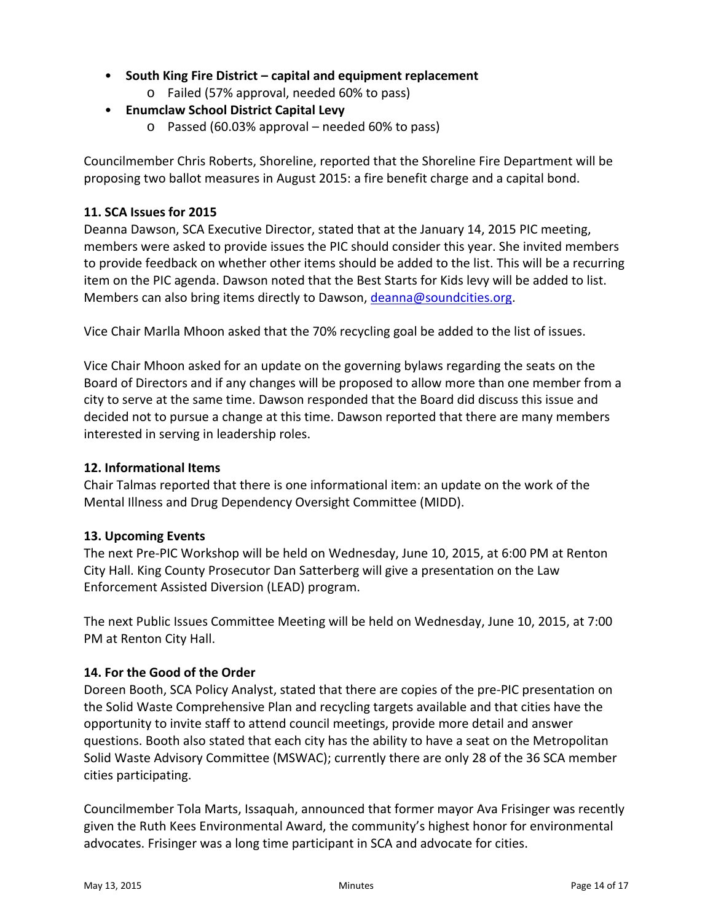- **South King Fire District – capital and equipment replacement**
	- o Failed (57% approval, needed 60% to pass)
- **Enumclaw School District Capital Levy**
	- o Passed (60.03% approval needed 60% to pass)

Councilmember Chris Roberts, Shoreline, reported that the Shoreline Fire Department will be proposing two ballot measures in August 2015: a fire benefit charge and a capital bond.

# **11. SCA Issues for 2015**

Deanna Dawson, SCA Executive Director, stated that at the January 14, 2015 PIC meeting, members were asked to provide issues the PIC should consider this year. She invited members to provide feedback on whether other items should be added to the list. This will be a recurring item on the PIC agenda. Dawson noted that the Best Starts for Kids levy will be added to list. Members can also bring items directly to Dawson, deanna@soundcities.org.

Vice Chair Marlla Mhoon asked that the 70% recycling goal be added to the list of issues.

Vice Chair Mhoon asked for an update on the governing bylaws regarding the seats on the Board of Directors and if any changes will be proposed to allow more than one member from a city to serve at the same time. Dawson responded that the Board did discuss this issue and decided not to pursue a change at this time. Dawson reported that there are many members interested in serving in leadership roles.

# **12. Informational Items**

Chair Talmas reported that there is one informational item: an update on the work of the Mental Illness and Drug Dependency Oversight Committee (MIDD).

# **13. Upcoming Events**

The next Pre‐PIC Workshop will be held on Wednesday, June 10, 2015, at 6:00 PM at Renton City Hall. King County Prosecutor Dan Satterberg will give a presentation on the Law Enforcement Assisted Diversion (LEAD) program.

The next Public Issues Committee Meeting will be held on Wednesday, June 10, 2015, at 7:00 PM at Renton City Hall.

# **14. For the Good of the Order**

Doreen Booth, SCA Policy Analyst, stated that there are copies of the pre‐PIC presentation on the Solid Waste Comprehensive Plan and recycling targets available and that cities have the opportunity to invite staff to attend council meetings, provide more detail and answer questions. Booth also stated that each city has the ability to have a seat on the Metropolitan Solid Waste Advisory Committee (MSWAC); currently there are only 28 of the 36 SCA member cities participating.

Councilmember Tola Marts, Issaquah, announced that former mayor Ava Frisinger was recently given the Ruth Kees Environmental Award, the community's highest honor for environmental advocates. Frisinger was a long time participant in SCA and advocate for cities.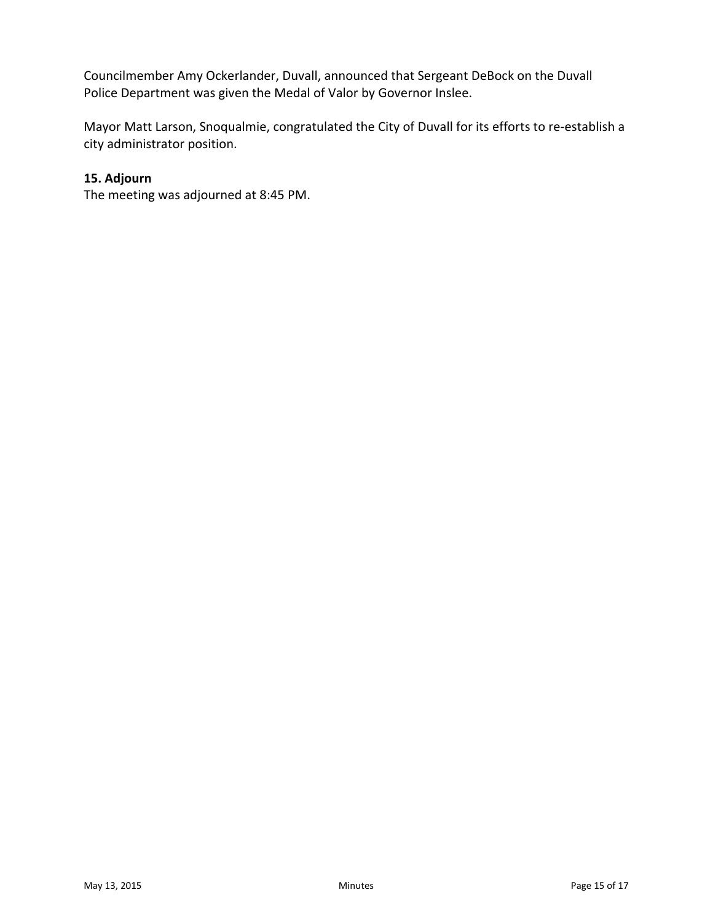Councilmember Amy Ockerlander, Duvall, announced that Sergeant DeBock on the Duvall Police Department was given the Medal of Valor by Governor Inslee.

Mayor Matt Larson, Snoqualmie, congratulated the City of Duvall for its efforts to re‐establish a city administrator position.

# **15. Adjourn**

The meeting was adjourned at 8:45 PM.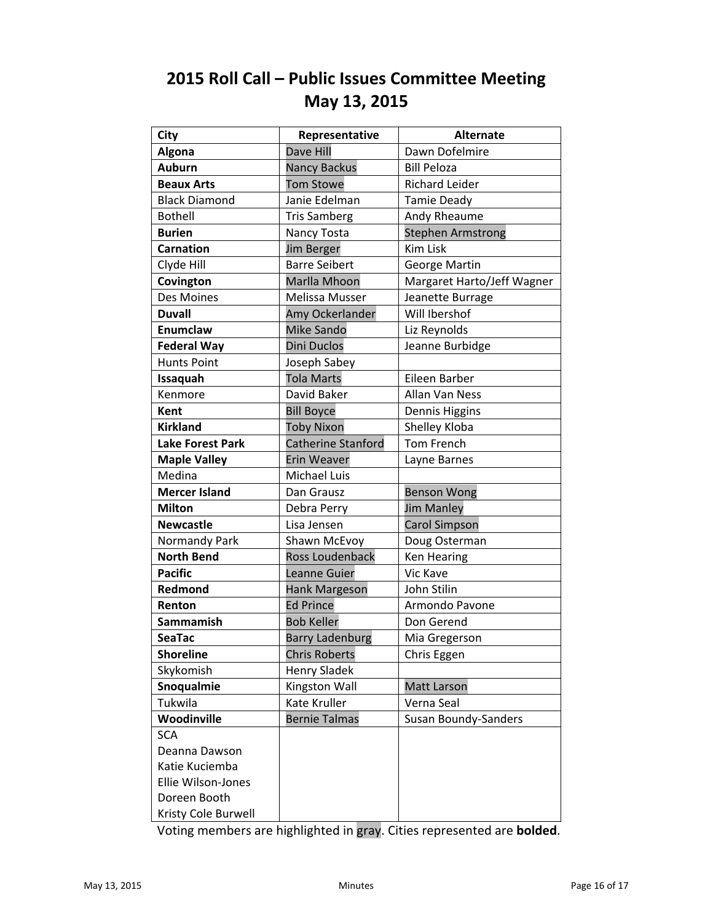# <span id="page-15-0"></span>**2015 Roll Call – Public Issues Committee Meeting May 13, 2015**

| <b>City</b>             | Representative            | <b>Alternate</b>            |
|-------------------------|---------------------------|-----------------------------|
| Algona                  | Dave Hill                 | Dawn Dofelmire              |
| <b>Auburn</b>           | <b>Nancy Backus</b>       | <b>Bill Peloza</b>          |
| <b>Beaux Arts</b>       | <b>Tom Stowe</b>          | <b>Richard Leider</b>       |
| <b>Black Diamond</b>    | Janie Edelman             | <b>Tamie Deady</b>          |
| <b>Bothell</b>          | <b>Tris Samberg</b>       | Andy Rheaume                |
| <b>Burien</b>           | Nancy Tosta               | <b>Stephen Armstrong</b>    |
| <b>Carnation</b>        | <b>Jim Berger</b>         | <b>Kim Lisk</b>             |
| Clyde Hill              | <b>Barre Seibert</b>      | George Martin               |
| Covington               | Marlla Mhoon              | Margaret Harto/Jeff Wagner  |
| Des Moines              | Melissa Musser            | Jeanette Burrage            |
| <b>Duvall</b>           | Amy Ockerlander           | Will Ibershof               |
| Enumclaw                | Mike Sando                | Liz Reynolds                |
| <b>Federal Way</b>      | <b>Dini Duclos</b>        | Jeanne Burbidge             |
| <b>Hunts Point</b>      | Joseph Sabey              |                             |
| Issaquah                | <b>Tola Marts</b>         | Eileen Barber               |
| Kenmore                 | David Baker               | Allan Van Ness              |
| Kent                    | <b>Bill Boyce</b>         | Dennis Higgins              |
| <b>Kirkland</b>         | <b>Toby Nixon</b>         | Shelley Kloba               |
| <b>Lake Forest Park</b> | <b>Catherine Stanford</b> | <b>Tom French</b>           |
| <b>Maple Valley</b>     | <b>Erin Weaver</b>        | Layne Barnes                |
| Medina                  | Michael Luis              |                             |
| <b>Mercer Island</b>    | Dan Grausz                | <b>Benson Wong</b>          |
| <b>Milton</b>           | Debra Perry               | <b>Jim Manley</b>           |
| <b>Newcastle</b>        | Lisa Jensen               | <b>Carol Simpson</b>        |
| Normandy Park           | Shawn McEvoy              | Doug Osterman               |
| <b>North Bend</b>       | Ross Loudenback           | <b>Ken Hearing</b>          |
| <b>Pacific</b>          | Leanne Guier              | Vic Kave                    |
| Redmond                 | Hank Margeson             | John Stilin                 |
| Renton                  | <b>Ed Prince</b>          | Armondo Pavone              |
| <b>Sammamish</b>        | <b>Bob Keller</b>         | Don Gerend                  |
| <b>SeaTac</b>           | <b>Barry Ladenburg</b>    | Mia Gregerson               |
| <b>Shoreline</b>        | <b>Chris Roberts</b>      | Chris Eggen                 |
| Skykomish               | <b>Henry Sladek</b>       |                             |
| Snoqualmie              | Kingston Wall             | <b>Matt Larson</b>          |
| Tukwila                 | Kate Kruller              | Verna Seal                  |
| Woodinville             | <b>Bernie Talmas</b>      | <b>Susan Boundy-Sanders</b> |
| <b>SCA</b>              |                           |                             |
| Deanna Dawson           |                           |                             |
| Katie Kuciemba          |                           |                             |
| Ellie Wilson-Jones      |                           |                             |
| Doreen Booth            |                           |                             |
| Kristy Cole Burwell     |                           |                             |

Voting members are highlighted in gray. Cities represented are **bolded**.